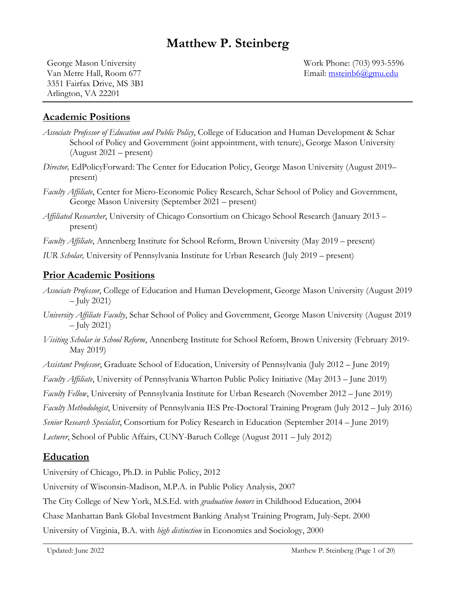# **Matthew P. Steinberg**

Van Metre Hall, Room 677 Email: msteinb6@gmu.edu 3351 Fairfax Drive, MS 3B1 Arlington, VA 22201

George Mason University Work Phone: (703) 993-5596

#### **Academic Positions**

- *Associate Professor of Education and Public Policy*, College of Education and Human Development & Schar School of Policy and Government (joint appointment, with tenure), George Mason University (August 2021 – present)
- *Director,* EdPolicyForward: The Center for Education Policy, George Mason University (August 2019– present)
- *Faculty Affiliate*, Center for Micro-Economic Policy Research, Schar School of Policy and Government, George Mason University (September 2021 – present)
- *Affiliated Researcher*, University of Chicago Consortium on Chicago School Research (January 2013 present)

*Faculty Affiliate*, Annenberg Institute for School Reform, Brown University (May 2019 – present)

*IUR Scholar,* University of Pennsylvania Institute for Urban Research (July 2019 – present)

#### **Prior Academic Positions**

- *Associate Professor*, College of Education and Human Development, George Mason University (August 2019 – July 2021)
- *University Affiliate Faculty*, Schar School of Policy and Government, George Mason University (August 2019 – July 2021)
- *Visiting Scholar in School Reform*, Annenberg Institute for School Reform, Brown University (February 2019- May 2019)
- *Assistant Professor*, Graduate School of Education, University of Pennsylvania (July 2012 June 2019)

*Faculty Affiliate*, University of Pennsylvania Wharton Public Policy Initiative (May 2013 – June 2019)

*Faculty Fellow*, University of Pennsylvania Institute for Urban Research (November 2012 – June 2019)

*Faculty Methodologist*, University of Pennsylvania IES Pre-Doctoral Training Program (July 2012 – July 2016)

*Senior Research Specialist*, Consortium for Policy Research in Education (September 2014 – June 2019)

*Lecturer*, School of Public Affairs, CUNY-Baruch College (August 2011 – July 2012)

#### **Education**

University of Chicago, Ph.D. in Public Policy, 2012

University of Wisconsin-Madison, M.P.A. in Public Policy Analysis, 2007

The City College of New York, M.S.Ed. with *graduation honors* in Childhood Education, 2004

Chase Manhattan Bank Global Investment Banking Analyst Training Program, July-Sept. 2000

University of Virginia, B.A. with *high distinction* in Economics and Sociology, 2000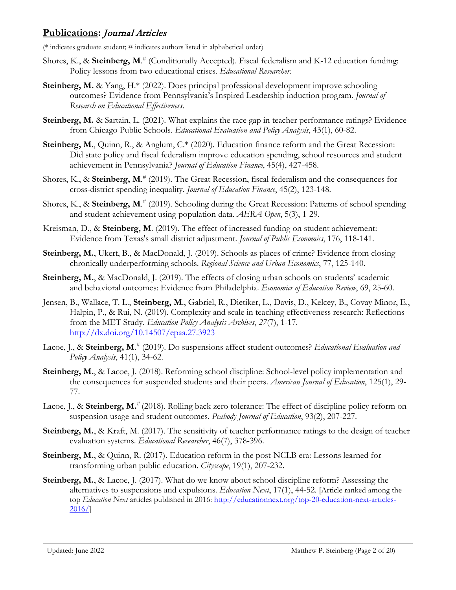### **Publications:** Journal Articles

(\* indicates graduate student; # indicates authors listed in alphabetical order)

- Shores, K., & **Steinberg, M**. # (Conditionally Accepted). Fiscal federalism and K-12 education funding: Policy lessons from two educational crises. *Educational Researcher.*
- **Steinberg, M.** & Yang, H.\* (2022). Does principal professional development improve schooling outcomes? Evidence from Pennsylvania's Inspired Leadership induction program. *Journal of Research on Educational Effectiveness*.
- **Steinberg, M.** & Sartain, L. (2021). What explains the race gap in teacher performance ratings? Evidence from Chicago Public Schools. *Educational Evaluation and Policy Analysis*, 43(1), 60-82.
- Steinberg, M., Quinn, R., & Anglum, C.\* (2020). Education finance reform and the Great Recession: Did state policy and fiscal federalism improve education spending, school resources and student achievement in Pennsylvania? *Journal of Education Finance*, 45(4), 427-458.
- Shores, K., & **Steinberg, M**. # (2019). The Great Recession, fiscal federalism and the consequences for cross-district spending inequality. *Journal of Education Finance*, 45(2), 123-148.
- Shores, K., & **Steinberg, M**. # (2019). Schooling during the Great Recession: Patterns of school spending and student achievement using population data. *AERA Open*, 5(3), 1-29.
- Kreisman, D., & **Steinberg, M**. (2019). The effect of increased funding on student achievement: Evidence from Texas's small district adjustment. *Journal of Public Economics*, 176, 118-141.
- **Steinberg, M.**, Ukert, B., & MacDonald, J. (2019). Schools as places of crime? Evidence from closing chronically underperforming schools. *Regional Science and Urban Economics*, 77, 125-140.
- Steinberg, M., & MacDonald, J. (2019). The effects of closing urban schools on students' academic and behavioral outcomes: Evidence from Philadelphia. *Economics of Education Review*, 69, 25-60.
- Jensen, B., Wallace, T. L., **Steinberg, M**., Gabriel, R., Dietiker, L., Davis, D., Kelcey, B., Covay Minor, E., Halpin, P., & Rui, N. (2019). Complexity and scale in teaching effectiveness research: Reflections from the MET Study. *Education Policy Analysis Archives*, *27*(7), 1-17. <http://dx.doi.org/10.14507/epaa.27.3923>
- Lacoe, J., & **Steinberg, M**. # (2019). Do suspensions affect student outcomes? *Educational Evaluation and Policy Analysis*, 41(1), 34-62.
- **Steinberg, M., & Lacoe, J. (2018). Reforming school discipline: School-level policy implementation and** the consequences for suspended students and their peers. *American Journal of Education*, 125(1), 29- 77.
- Lacoe, J., & **Steinberg, M.**<sup>#</sup> (2018). Rolling back zero tolerance: The effect of discipline policy reform on suspension usage and student outcomes. *Peabody Journal of Education*, 93(2), 207-227.
- **Steinberg, M.**, & Kraft, M. (2017). The sensitivity of teacher performance ratings to the design of teacher evaluation systems. *Educational Researcher*, 46(7), 378-396.
- **Steinberg, M., & Quinn, R. (2017).** Education reform in the post-NCLB era: Lessons learned for transforming urban public education. *Cityscape*, 19(1), 207-232.
- **Steinberg, M., & Lacoe, J. (2017). What do we know about school discipline reform? Assessing the** alternatives to suspensions and expulsions. *Education Next*, 17(1), 44-52. [Article ranked among the top *Education Next* articles published in 2016: [http://educationnext.org/top-20-education-next-articles-](http://educationnext.org/top-20-education-next-articles-2016/)[2016/\]](http://educationnext.org/top-20-education-next-articles-2016/)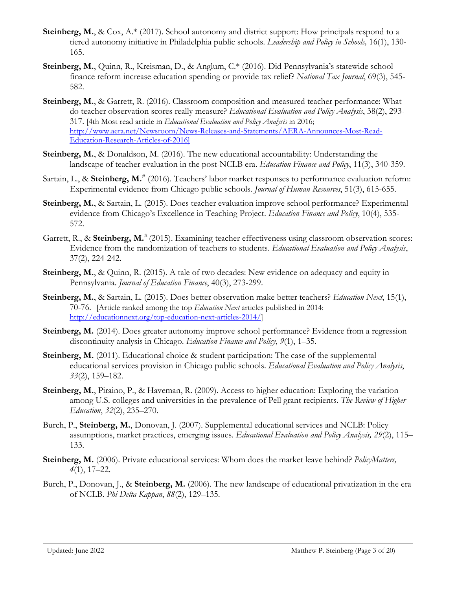- **Steinberg, M.**, & Cox, A.\* (2017). School autonomy and district support: How principals respond to a tiered autonomy initiative in Philadelphia public schools. *Leadership and Policy in Schools,* 16(1), 130- 165.
- **Steinberg, M.**, Quinn, R., Kreisman, D., & Anglum, C.\* (2016). Did Pennsylvania's statewide school finance reform increase education spending or provide tax relief? *National Tax Journal*, 69(3), 545- 582.
- **Steinberg, M.**, & Garrett, R. (2016). Classroom composition and measured teacher performance: What do teacher observation scores really measure? *Educational Evaluation and Policy Analysis*, 38(2), 293- 317. [4th Most read article in *Educational Evaluation and Policy Analysis* in 2016; [http://www.aera.net/Newsroom/News-Releases-and-Statements/AERA-Announces-Most-Read-](http://www.aera.net/Newsroom/News-Releases-and-Statements/AERA-Announces-Most-Read-Education-Research-Articles-of-2016)[Education-Research-Articles-of-2016\]](http://www.aera.net/Newsroom/News-Releases-and-Statements/AERA-Announces-Most-Read-Education-Research-Articles-of-2016)
- **Steinberg, M.**, & Donaldson, M. (2016). The new educational accountability: Understanding the landscape of teacher evaluation in the post-NCLB era. *Education Finance and Policy*, 11(3), 340-359.
- Sartain, L., & Steinberg, M.<sup>#</sup> (2016). Teachers' labor market responses to performance evaluation reform: Experimental evidence from Chicago public schools. *Journal of Human Resources*, 51(3), 615-655.
- **Steinberg, M.**, & Sartain, L. (2015). Does teacher evaluation improve school performance? Experimental evidence from Chicago's Excellence in Teaching Project. *Education Finance and Policy*, 10(4), 535- 572.
- Garrett, R., & Steinberg, M.<sup>#</sup> (2015). Examining teacher effectiveness using classroom observation scores: Evidence from the randomization of teachers to students. *Educational Evaluation and Policy Analysis*, 37(2), 224-242.
- **Steinberg, M., & Quinn, R.** (2015). A tale of two decades: New evidence on adequacy and equity in Pennsylvania. *Journal of Education Finance*, 40(3), 273-299.
- **Steinberg, M.**, & Sartain, L. (2015). Does better observation make better teachers? *Education Next*, 15(1), 70-76. [Article ranked among the top *Education Next* articles published in 2014: [http://educationnext.org/top-education-next-articles-2014/\]](http://educationnext.org/top-education-next-articles-2014/)
- **Steinberg, M.** (2014). Does greater autonomy improve school performance? Evidence from a regression discontinuity analysis in Chicago. *Education Finance and Policy*, *9*(1), 1–35.
- **Steinberg, M.** (2011). Educational choice & student participation: The case of the supplemental educational services provision in Chicago public schools. *Educational Evaluation and Policy Analysis*, *33*(2), 159–182.
- **Steinberg, M.,** Piraino, P., & Haveman, R. (2009). Access to higher education: Exploring the variation among U.S. colleges and universities in the prevalence of Pell grant recipients. *The Review of Higher Education*, *32*(2), 235–270.
- Burch, P., **Steinberg, M.**, Donovan, J. (2007). Supplemental educational services and NCLB: Policy assumptions, market practices, emerging issues. *Educational Evaluation and Policy Analysis, 29*(2), 115– 133.
- **Steinberg, M.** (2006). Private educational services: Whom does the market leave behind? *PolicyMatters, 4*(1), 17–22.
- Burch, P., Donovan, J., & **Steinberg, M.** (2006). The new landscape of educational privatization in the era of NCLB. *Phi Delta Kappan*, *88*(2), 129–135.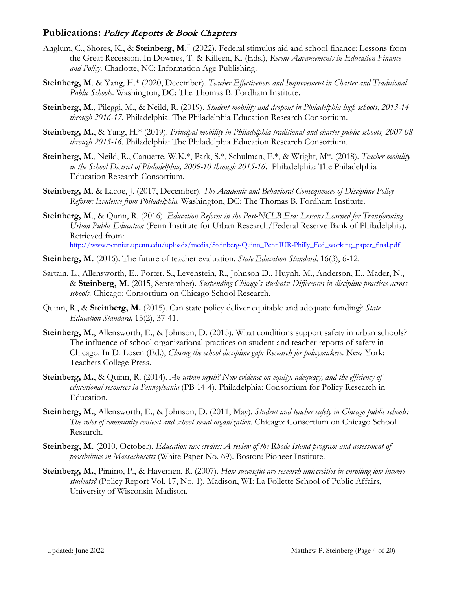### **Publications:** Policy Reports & Book Chapters

- Anglum, C., Shores, K., & **Steinberg, M.**# (2022). Federal stimulus aid and school finance: Lessons from the Great Recession. In Downes, T. & Killeen, K. (Eds.), *Recent Advancements in Education Finance and Policy*. Charlotte, NC: Information Age Publishing.
- **Steinberg, M**. & Yang, H.\* (2020, December). *Teacher Effectiveness and Improvement in Charter and Traditional Public Schools*. Washington, DC: The Thomas B. Fordham Institute.
- **Steinberg, M**., Pileggi, M., & Neild, R. (2019). *Student mobility and dropout in Philadelphia high schools, 2013-14 through 2016-17*. Philadelphia: The Philadelphia Education Research Consortium.
- **Steinberg, M.**, & Yang, H.\* (2019). *Principal mobility in Philadelphia traditional and charter public schools, 2007-08 through 2015-16.* Philadelphia: The Philadelphia Education Research Consortium.
- **Steinberg, M**., Neild, R., Canuette, W.K.\*, Park, S.\*, Schulman, E.\*, & Wright, M\*. (2018). *Teacher mobility in the School District of Philadelphia, 2009-10 through 2015-16*. Philadelphia: The Philadelphia Education Research Consortium.
- **Steinberg, M**. & Lacoe, J. (2017, December). *The Academic and Behavioral Consequences of Discipline Policy Reform: Evidence from Philadelphia*. Washington, DC: The Thomas B. Fordham Institute.
- **Steinberg, M**., & Qunn, R. (2016). *Education Reform in the Post-NCLB Era: Lessons Learned for Transforming Urban Public Education* (Penn Institute for Urban Research/Federal Reserve Bank of Philadelphia). Retrieved from: [http://www.penniur.upenn.edu/uploads/media/Steinberg-Quinn\\_PennIUR-Philly\\_Fed\\_working\\_paper\\_final.pdf](http://www.penniur.upenn.edu/uploads/media/Steinberg-Quinn_PennIUR-Philly_Fed_working_paper_final.pdf)
- **Steinberg, M.** (2016). The future of teacher evaluation. *State Education Standard,* 16(3), 6-12.
- Sartain, L., Allensworth, E., Porter, S., Levenstein, R., Johnson D., Huynh, M., Anderson, E., Mader, N., & **Steinberg, M**. (2015, September). *Suspending Chicago's students: Differences in discipline practices across schools.* Chicago: Consortium on Chicago School Research.
- Quinn, R., & **Steinberg, M.** (2015). Can state policy deliver equitable and adequate funding? *State Education Standard,* 15(2), 37-41.
- **Steinberg, M.**, Allensworth, E., & Johnson, D. (2015). What conditions support safety in urban schools? The influence of school organizational practices on student and teacher reports of safety in Chicago. In D. Losen (Ed.), *Closing the school discipline gap: Research for policymakers*. New York: Teachers College Press.
- **Steinberg, M.**, & Quinn, R. (2014). *An urban myth? New evidence on equity, adequacy, and the efficiency of educational resources in Pennsylvania* (PB 14-4). Philadelphia: Consortium for Policy Research in Education.
- **Steinberg, M.**, Allensworth, E., & Johnson, D. (2011, May). *Student and teacher safety in Chicago public schools: The roles of community context and school social organization.* Chicago: Consortium on Chicago School Research.
- **Steinberg, M.** (2010, October). *Education tax credits: A review of the Rhode Island program and assessment of possibilities in Massachusetts* (White Paper No. 69). Boston: Pioneer Institute.
- **Steinberg, M.**, Piraino, P., & Havemen, R. (2007). *How successful are research universities in enrolling low-income students?* (Policy Report Vol. 17, No. 1). Madison, WI: La Follette School of Public Affairs, University of Wisconsin-Madison.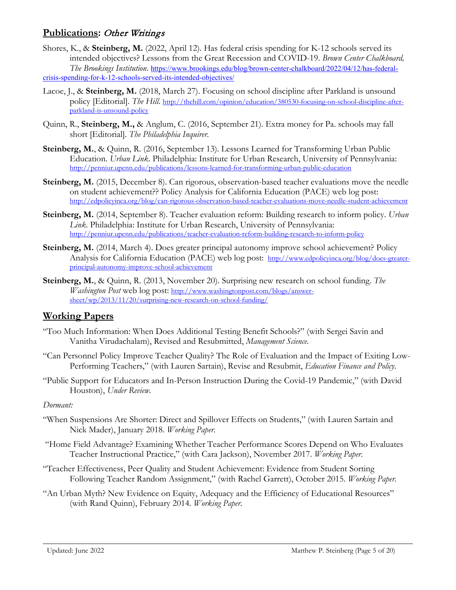### **Publications: Other Writings**

- Shores, K., & **Steinberg, M.** (2022, April 12). Has federal crisis spending for K-12 schools served its intended objectives? Lessons from the Great Recession and COVID-19. *Brown Center Chalkboard, The Brookings Institution*. [https://www.brookings.edu/blog/brown-center-chalkboard/2022/04/12/has-federal](https://www.brookings.edu/blog/brown-center-chalkboard/2022/04/12/has-federal-crisis-spending-for-k-12-schools-served-its-intended-objectives/)[crisis-spending-for-k-12-schools-served-its-intended-objectives/](https://www.brookings.edu/blog/brown-center-chalkboard/2022/04/12/has-federal-crisis-spending-for-k-12-schools-served-its-intended-objectives/)
- Lacoe, J., & **Steinberg, M.** (2018, March 27). Focusing on school discipline after Parkland is unsound policy [Editorial]. *The Hill.* [http://thehill.com/opinion/education/380530-focusing-on-school-discipline-after](http://thehill.com/opinion/education/380530-focusing-on-school-discipline-after-parkland-is-unsound-policy)[parkland-is-unsound-policy](http://thehill.com/opinion/education/380530-focusing-on-school-discipline-after-parkland-is-unsound-policy)
- Quinn, R., **Steinberg, M.,** & Anglum, C. (2016, September 21). Extra money for Pa. schools may fall short [Editorial]. *The Philadelphia Inquirer*.
- **Steinberg, M.**, & Quinn, R. (2016, September 13). Lessons Learned for Transforming Urban Public Education. *Urban Link*. Philadelphia: Institute for Urban Research, University of Pennsylvania: <http://penniur.upenn.edu/publications/lessons-learned-for-transforming-urban-public-education>
- **Steinberg, M.** (2015, December 8). Can rigorous, observation-based teacher evaluations move the needle on student achievement?? Policy Analysis for California Education (PACE) web log post: <http://edpolicyinca.org/blog/can-rigorous-observation-based-teacher-evaluations-move-needle-student-achievement>
- **Steinberg, M.** (2014, September 8). Teacher evaluation reform: Building research to inform policy. *Urban Link*. Philadelphia: Institute for Urban Research, University of Pennsylvania: <http://penniur.upenn.edu/publications/teacher-evaluation-reform-building-research-to-inform-policy>
- **Steinberg, M.** (2014, March 4). Does greater principal autonomy improve school achievement? Policy Analysis for California Education (PACE) web log post: [http://www.edpolicyinca.org/blog/does-greater](http://www.edpolicyinca.org/blog/does-greater-principal-autonomy-improve-school-achievement)[principal-autonomy-improve-school-achievement](http://www.edpolicyinca.org/blog/does-greater-principal-autonomy-improve-school-achievement)
- **Steinberg, M.**, & Quinn, R. (2013, November 20). Surprising new research on school funding. *The Washington Post* web log post: [http://www.washingtonpost.com/blogs/answer](http://www.washingtonpost.com/blogs/answer-sheet/wp/2013/11/20/surprising-new-research-on-school-funding/)[sheet/wp/2013/11/20/surprising-new-research-on-school-funding/](http://www.washingtonpost.com/blogs/answer-sheet/wp/2013/11/20/surprising-new-research-on-school-funding/)

### **Working Papers**

- "Too Much Information: When Does Additional Testing Benefit Schools?" (with Sergei Savin and Vanitha Virudachalam), Revised and Resubmitted, *Management Science*.
- "Can Personnel Policy Improve Teacher Quality? The Role of Evaluation and the Impact of Exiting Low-Performing Teachers," (with Lauren Sartain), Revise and Resubmit, *Education Finance and Policy*.
- "Public Support for Educators and In-Person Instruction During the Covid-19 Pandemic," (with David Houston), *Under Review.*

#### *Dormant:*

- "When Suspensions Are Shorter: Direct and Spillover Effects on Students," (with Lauren Sartain and Nick Mader), January 2018. *Working Paper*.
- "Home Field Advantage? Examining Whether Teacher Performance Scores Depend on Who Evaluates Teacher Instructional Practice," (with Cara Jackson), November 2017. *Working Paper*.
- "Teacher Effectiveness, Peer Quality and Student Achievement: Evidence from Student Sorting Following Teacher Random Assignment," (with Rachel Garrett), October 2015. *Working Paper.*
- "An Urban Myth? New Evidence on Equity, Adequacy and the Efficiency of Educational Resources" (with Rand Quinn), February 2014*. Working Paper*.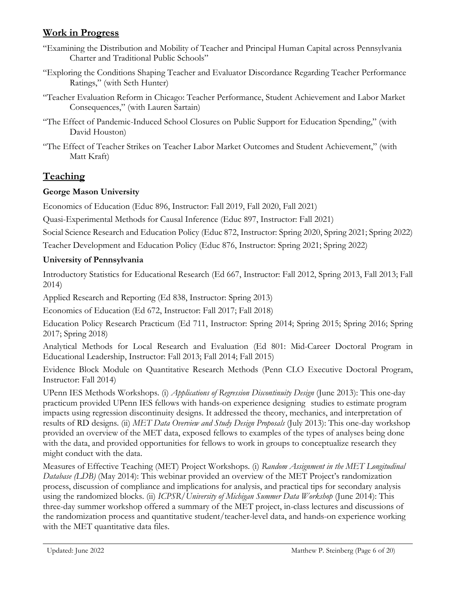### **Work in Progress**

- "Examining the Distribution and Mobility of Teacher and Principal Human Capital across Pennsylvania Charter and Traditional Public Schools"
- "Exploring the Conditions Shaping Teacher and Evaluator Discordance Regarding Teacher Performance Ratings," (with Seth Hunter)
- "Teacher Evaluation Reform in Chicago: Teacher Performance, Student Achievement and Labor Market Consequences," (with Lauren Sartain)
- "The Effect of Pandemic-Induced School Closures on Public Support for Education Spending," (with David Houston)
- "The Effect of Teacher Strikes on Teacher Labor Market Outcomes and Student Achievement," (with Matt Kraft)

# **Teaching**

### **George Mason University**

Economics of Education (Educ 896, Instructor: Fall 2019, Fall 2020, Fall 2021)

Quasi-Experimental Methods for Causal Inference (Educ 897, Instructor: Fall 2021)

Social Science Research and Education Policy (Educ 872, Instructor: Spring 2020, Spring 2021; Spring 2022)

Teacher Development and Education Policy (Educ 876, Instructor: Spring 2021; Spring 2022)

### **University of Pennsylvania**

Introductory Statistics for Educational Research (Ed 667, Instructor: Fall 2012, Spring 2013, Fall 2013; Fall 2014)

Applied Research and Reporting (Ed 838, Instructor: Spring 2013)

Economics of Education (Ed 672, Instructor: Fall 2017; Fall 2018)

Education Policy Research Practicum (Ed 711, Instructor: Spring 2014; Spring 2015; Spring 2016; Spring 2017; Spring 2018)

Analytical Methods for Local Research and Evaluation (Ed 801: Mid-Career Doctoral Program in Educational Leadership, Instructor: Fall 2013; Fall 2014; Fall 2015)

Evidence Block Module on Quantitative Research Methods (Penn CLO Executive Doctoral Program, Instructor: Fall 2014)

UPenn IES Methods Workshops. (i) *Applications of Regression Discontinuity Design* (June 2013): This one-day practicum provided UPenn IES fellows with hands-on experience designing studies to estimate program impacts using regression discontinuity designs. It addressed the theory, mechanics, and interpretation of results of RD designs. (ii) *MET Data Overview and Study Design Proposals* (July 2013): This one-day workshop provided an overview of the MET data, exposed fellows to examples of the types of analyses being done with the data, and provided opportunities for fellows to work in groups to conceptualize research they might conduct with the data.

Measures of Effective Teaching (MET) Project Workshops. (i) *Random Assignment in the MET Longitudinal Database (LDB)* (May 2014): This webinar provided an overview of the MET Project's randomization process, discussion of compliance and implications for analysis, and practical tips for secondary analysis using the randomized blocks. (ii) *ICPSR/University of Michigan Summer Data Workshop* (June 2014): This three-day summer workshop offered a summary of the MET project, in-class lectures and discussions of the randomization process and quantitative student/teacher-level data, and hands-on experience working with the MET quantitative data files.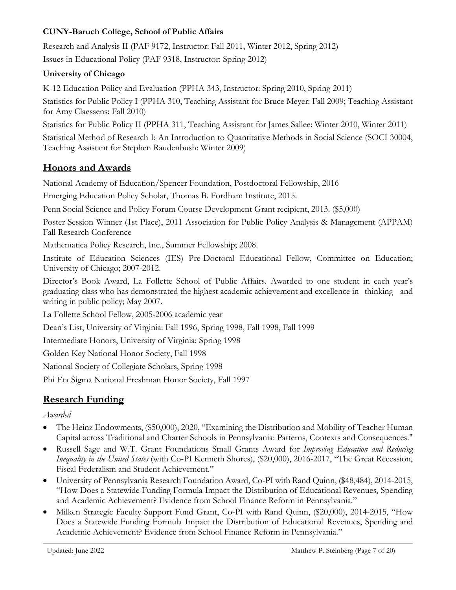### **CUNY-Baruch College, School of Public Affairs**

Research and Analysis II (PAF 9172, Instructor: Fall 2011, Winter 2012, Spring 2012) Issues in Educational Policy (PAF 9318, Instructor: Spring 2012)

### **University of Chicago**

K-12 Education Policy and Evaluation (PPHA 343, Instructor: Spring 2010, Spring 2011)

Statistics for Public Policy I (PPHA 310, Teaching Assistant for Bruce Meyer: Fall 2009; Teaching Assistant for Amy Claessens: Fall 2010)

Statistics for Public Policy II (PPHA 311, Teaching Assistant for James Sallee: Winter 2010, Winter 2011)

Statistical Method of Research I: An Introduction to Quantitative Methods in Social Science (SOCI 30004, Teaching Assistant for Stephen Raudenbush: Winter 2009)

# **Honors and Awards**

National Academy of Education/Spencer Foundation, Postdoctoral Fellowship, 2016

Emerging Education Policy Scholar, Thomas B. Fordham Institute, 2015.

Penn Social Science and Policy Forum Course Development Grant recipient, 2013. (\$5,000)

Poster Session Winner (1st Place), 2011 Association for Public Policy Analysis & Management (APPAM) Fall Research Conference

Mathematica Policy Research, Inc., Summer Fellowship; 2008.

Institute of Education Sciences (IES) Pre-Doctoral Educational Fellow, Committee on Education; University of Chicago; 2007-2012.

Director's Book Award, La Follette School of Public Affairs. Awarded to one student in each year's graduating class who has demonstrated the highest academic achievement and excellence in thinking and writing in public policy; May 2007.

La Follette School Fellow, 2005-2006 academic year

Dean's List, University of Virginia: Fall 1996, Spring 1998, Fall 1998, Fall 1999

Intermediate Honors, University of Virginia: Spring 1998

Golden Key National Honor Society, Fall 1998

National Society of Collegiate Scholars, Spring 1998

Phi Eta Sigma National Freshman Honor Society, Fall 1997

# **Research Funding**

*Awarded*

- The Heinz Endowments, (\$50,000), 2020, "Examining the Distribution and Mobility of Teacher Human Capital across Traditional and Charter Schools in Pennsylvania: Patterns, Contexts and Consequences."
- Russell Sage and W.T. Grant Foundations Small Grants Award for *Improving Education and Reducing Inequality in the United States* (with Co-PI Kenneth Shores), (\$20,000), 2016-2017, "The Great Recession, Fiscal Federalism and Student Achievement."
- University of Pennsylvania Research Foundation Award, Co-PI with Rand Quinn, (\$48,484), 2014-2015, "How Does a Statewide Funding Formula Impact the Distribution of Educational Revenues, Spending and Academic Achievement? Evidence from School Finance Reform in Pennsylvania."
- Milken Strategic Faculty Support Fund Grant, Co-PI with Rand Quinn, (\$20,000), 2014-2015, "How Does a Statewide Funding Formula Impact the Distribution of Educational Revenues, Spending and Academic Achievement? Evidence from School Finance Reform in Pennsylvania."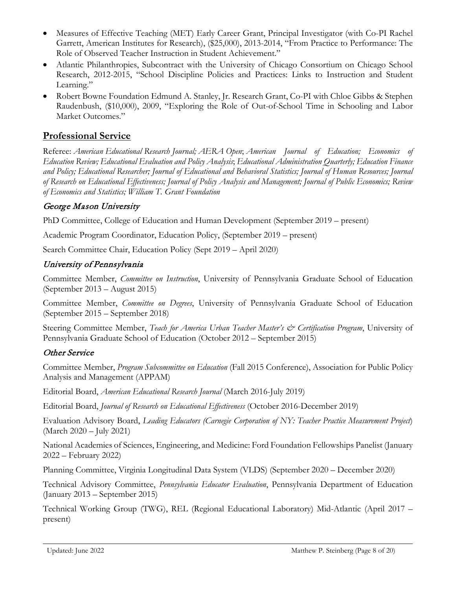- Measures of Effective Teaching (MET) Early Career Grant, Principal Investigator (with Co-PI Rachel Garrett, American Institutes for Research), (\$25,000), 2013-2014, "From Practice to Performance: The Role of Observed Teacher Instruction in Student Achievement."
- Atlantic Philanthropies, Subcontract with the University of Chicago Consortium on Chicago School Research, 2012-2015, "School Discipline Policies and Practices: Links to Instruction and Student Learning."
- Robert Bowne Foundation Edmund A. Stanley, Jr. Research Grant, Co-PI with Chloe Gibbs & Stephen Raudenbush, (\$10,000), 2009, "Exploring the Role of Out-of-School Time in Schooling and Labor Market Outcomes."

### **Professional Service**

Referee: *American Educational Research Journal; AERA Open*; *American Journal of Education; Economics of Education Review; Educational Evaluation and Policy Analysis*; *Educational Administration Quarterly; Education Finance and Policy; Educational Researcher; Journal of Educational and Behavioral Statistics; Journal of Human Resources; Journal of Research on Educational Effectiveness; Journal of Policy Analysis and Management; Journal of Public Economics; Review of Economics and Statistics; William T. Grant Foundation* 

### George Mason University

PhD Committee, College of Education and Human Development (September 2019 – present)

Academic Program Coordinator, Education Policy, (September 2019 – present)

Search Committee Chair, Education Policy (Sept 2019 – April 2020)

### University of Pennsylvania

Committee Member, *Committee on Instruction*, University of Pennsylvania Graduate School of Education (September 2013 – August 2015)

Committee Member, *Committee on Degrees*, University of Pennsylvania Graduate School of Education (September 2015 – September 2018)

Steering Committee Member, *Teach for America Urban Teacher Master's & Certification Program*, University of Pennsylvania Graduate School of Education (October 2012 – September 2015)

### Other Service

Committee Member, *Program Subcommittee on Education* (Fall 2015 Conference), Association for Public Policy Analysis and Management (APPAM)

Editorial Board, *American Educational Research Journal* (March 2016-July 2019)

Editorial Board, *Journal of Research on Educational Effectiveness* (October 2016-December 2019)

Evaluation Advisory Board, *Leading Educators (Carnegie Corporation of NY: Teacher Practice Measurement Project*) (March 2020 – July 2021)

National Academies of Sciences, Engineering, and Medicine: Ford Foundation Fellowships Panelist (January 2022 – February 2022)

Planning Committee, Virginia Longitudinal Data System (VLDS) (September 2020 – December 2020)

Technical Advisory Committee, *Pennsylvania Educator Evaluation*, Pennsylvania Department of Education (January 2013 – September 2015)

Technical Working Group (TWG), REL (Regional Educational Laboratory) Mid-Atlantic (April 2017 – present)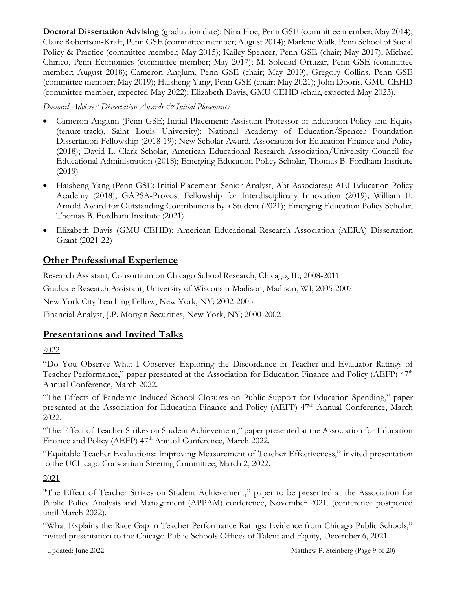**Doctoral Dissertation Advising** (graduation date): Nina Hoe, Penn GSE (committee member; May 2014); Claire Robertson-Kraft, Penn GSE (committee member; August 2014); Marlene Walk, Penn School of Social Policy & Practice (committee member; May 2015); Kailey Spencer, Penn GSE (chair; May 2017); Michael Chirico, Penn Economics (committee member; May 2017); M. Soledad Ortuzar, Penn GSE (committee member; August 2018); Cameron Anglum, Penn GSE (chair; May 2019); Gregory Collins, Penn GSE (committee member; May 2019); Haisheng Yang, Penn GSE (chair; May 2021); John Dooris, GMU CEHD (committee member, expected May 2022); Elizabeth Davis, GMU CEHD (chair, expected May 2023).

*Doctoral Advisees' Dissertation Awards & Initial Placements* 

- Cameron Anglum (Penn GSE; Initial Placement: Assistant Professor of Education Policy and Equity (tenure-track), Saint Louis University): National Academy of Education/Spencer Foundation Dissertation Fellowship (2018-19); New Scholar Award, Association for Education Finance and Policy (2018); David L. Clark Scholar, American Educational Research Association/University Council for Educational Administration (2018); Emerging Education Policy Scholar, Thomas B. Fordham Institute (2019)
- Haisheng Yang (Penn GSE; Initial Placement: Senior Analyst, Abt Associates): AEI Education Policy Academy (2018); GAPSA-Provost Fellowship for Interdisciplinary Innovation (2019); William E. Arnold Award for Outstanding Contributions by a Student (2021); Emerging Education Policy Scholar, Thomas B. Fordham Institute (2021)
- Elizabeth Davis (GMU CEHD): American Educational Research Association (AERA) Dissertation Grant (2021-22)

# **Other Professional Experience**

Research Assistant, Consortium on Chicago School Research, Chicago, IL; 2008-2011

Graduate Research Assistant, University of Wisconsin-Madison, Madison, WI; 2005-2007

New York City Teaching Fellow, New York, NY; 2002-2005

Financial Analyst, J.P. Morgan Securities, New York, NY; 2000-2002

# **Presentations and Invited Talks**

2022

"Do You Observe What I Observe? Exploring the Discordance in Teacher and Evaluator Ratings of Teacher Performance," paper presented at the Association for Education Finance and Policy (AEFP) 47<sup>th</sup> Annual Conference, March 2022.

"The Effects of Pandemic-Induced School Closures on Public Support for Education Spending," paper presented at the Association for Education Finance and Policy (AEFP) 47<sup>th</sup> Annual Conference, March 2022.

"The Effect of Teacher Strikes on Student Achievement," paper presented at the Association for Education Finance and Policy (AEFP) 47<sup>th</sup> Annual Conference, March 2022.

"Equitable Teacher Evaluations: Improving Measurement of Teacher Effectiveness," invited presentation to the UChicago Consortium Steering Committee, March 2, 2022.

2021

"The Effect of Teacher Strikes on Student Achievement," paper to be presented at the Association for Public Policy Analysis and Management (APPAM) conference, November 2021. (conference postponed until March 2022).

"What Explains the Race Gap in Teacher Performance Ratings: Evidence from Chicago Public Schools," invited presentation to the Chicago Public Schools Offices of Talent and Equity, December 6, 2021.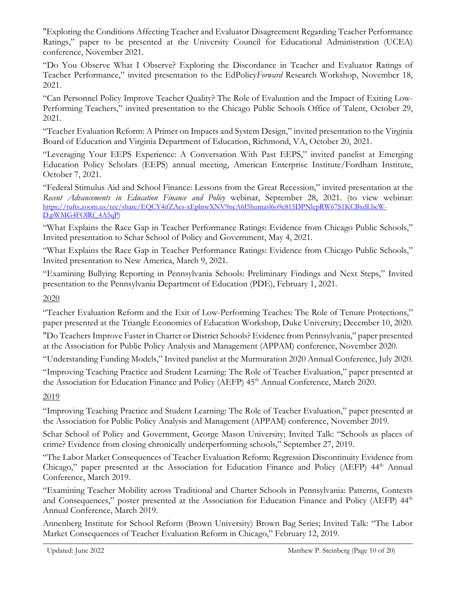"Exploring the Conditions Affecting Teacher and Evaluator Disagreement Regarding Teacher Performance Ratings," paper to be presented at the University Council for Educational Administration (UCEA) conference, November 2021.

"Do You Observe What I Observe? Exploring the Discordance in Teacher and Evaluator Ratings of Teacher Performance," invited presentation to the EdPolicy*Forward* Research Workshop, November 18, 2021.

"Can Personnel Policy Improve Teacher Quality? The Role of Evaluation and the Impact of Exiting Low-Performing Teachers," invited presentation to the Chicago Public Schools Office of Talent, October 29, 2021.

"Teacher Evaluation Reform: A Primer on Impacts and System Design," invited presentation to the Virginia Board of Education and Virginia Department of Education, Richmond, VA, October 20, 2021.

"Leveraging Your EEPS Experience: A Conversation With Past EEPS," invited panelist at Emerging Education Policy Scholars (EEPS) annual meeting, American Enterprise Institute/Fordham Institute, October 7, 2021.

"Federal Stimulus Aid and School Finance: Lessons from the Great Recession," invited presentation at the *Recent Advancements in Education Finance and Policy* webinar, September 28, 2021. (to view webinar: [https://tufts.zoom.us/rec/share/EQCY4ifZAcs-xEplnwXNV9ncA6I5humasl6o9c815DPNlepRW67S1KCBxdLbcW-](https://secure-web.cisco.com/1uBLavh4rSICe7TqdAga90CN9RaqRhYxDnTeWp9jXIGLt5xhi5LVbx1iUaO5duCHzXt8FfTlzsnSdWaVfhsx_vmY_VligtisN4adnxRnrOvnO6IxhxCC5AgZWtO5WkWDlYlcWxj-9jOSNEDhoDPCEC9ktf7mgMPAllhpZRt-u2s7aao1l6La_utt0b3u-RoD3qFFiHff00nXW7ZxikVRz9ylY-RkPFvHaSsTRakfT-gPrunuVCiiOdQJrRgrlOzhwcPselmzgn_nMA0uyBFZ3A8Hy_Ie4pi3B1yrSTsdTq2u9idyhHecrugw-WlQMMV7JLwJnz6pszRR3rfMyQ4-Qs__EZnmoe_CoOAiKnkDojukZnAzOiHUS_gse6OtmWoWzo93L4aN1OGGQR5eKWyvmWn-ylEC4_TijCyPfzUVp8r7npPRl-I6_0FV2AgRU7eCM/https%3A%2F%2Ftufts.zoom.us%2Frec%2Fshare%2FEQCY4ifZAcs-xEplnwXNV9ncA6I5humasl6o9c815DPNlepRW67S1KCBxdLbcW-D.pWMG4FOlRf_4A5qP)[D.pWMG4FOlRf\\_4A5qP\)](https://secure-web.cisco.com/1uBLavh4rSICe7TqdAga90CN9RaqRhYxDnTeWp9jXIGLt5xhi5LVbx1iUaO5duCHzXt8FfTlzsnSdWaVfhsx_vmY_VligtisN4adnxRnrOvnO6IxhxCC5AgZWtO5WkWDlYlcWxj-9jOSNEDhoDPCEC9ktf7mgMPAllhpZRt-u2s7aao1l6La_utt0b3u-RoD3qFFiHff00nXW7ZxikVRz9ylY-RkPFvHaSsTRakfT-gPrunuVCiiOdQJrRgrlOzhwcPselmzgn_nMA0uyBFZ3A8Hy_Ie4pi3B1yrSTsdTq2u9idyhHecrugw-WlQMMV7JLwJnz6pszRR3rfMyQ4-Qs__EZnmoe_CoOAiKnkDojukZnAzOiHUS_gse6OtmWoWzo93L4aN1OGGQR5eKWyvmWn-ylEC4_TijCyPfzUVp8r7npPRl-I6_0FV2AgRU7eCM/https%3A%2F%2Ftufts.zoom.us%2Frec%2Fshare%2FEQCY4ifZAcs-xEplnwXNV9ncA6I5humasl6o9c815DPNlepRW67S1KCBxdLbcW-D.pWMG4FOlRf_4A5qP)

"What Explains the Race Gap in Teacher Performance Ratings: Evidence from Chicago Public Schools," Invited presentation to Schar School of Policy and Government, May 4, 2021.

"What Explains the Race Gap in Teacher Performance Ratings: Evidence from Chicago Public Schools," Invited presentation to New America, March 9, 2021.

"Examining Bullying Reporting in Pennsylvania Schools: Preliminary Findings and Next Steps," Invited presentation to the Pennsylvania Department of Education (PDE), February 1, 2021.

#### 2020

"Teacher Evaluation Reform and the Exit of Low-Performing Teaches: The Role of Tenure Protections," paper presented at the Triangle Economics of Education Workshop, Duke University; December 10, 2020.

"Do Teachers Improve Faster in Charter or District Schools? Evidence from Pennsylvania," paper presented at the Association for Public Policy Analysis and Management (APPAM) conference, November 2020.

"Understanding Funding Models," Invited panelist at the Murmuration 2020 Annual Conference, July 2020.

"Improving Teaching Practice and Student Learning: The Role of Teacher Evaluation," paper presented at the Association for Education Finance and Policy (AEFP) 45<sup>th</sup> Annual Conference, March 2020.

### 2019

"Improving Teaching Practice and Student Learning: The Role of Teacher Evaluation," paper presented at the Association for Public Policy Analysis and Management (APPAM) conference, November 2019.

Schar School of Policy and Government, George Mason University; Invited Talk: "Schools as places of crime? Evidence from closing chronically underperforming schools," September 27, 2019.

"The Labor Market Consequences of Teacher Evaluation Reform: Regression Discontinuity Evidence from Chicago," paper presented at the Association for Education Finance and Policy (AEFP) 44<sup>th</sup> Annual Conference, March 2019.

"Examining Teacher Mobility across Traditional and Charter Schools in Pennsylvania: Patterns, Contexts and Consequences," poster presented at the Association for Education Finance and Policy (AEFP) 44<sup>th</sup> Annual Conference, March 2019.

Annenberg Institute for School Reform (Brown University) Brown Bag Series; Invited Talk: "The Labor Market Consequences of Teacher Evaluation Reform in Chicago," February 12, 2019.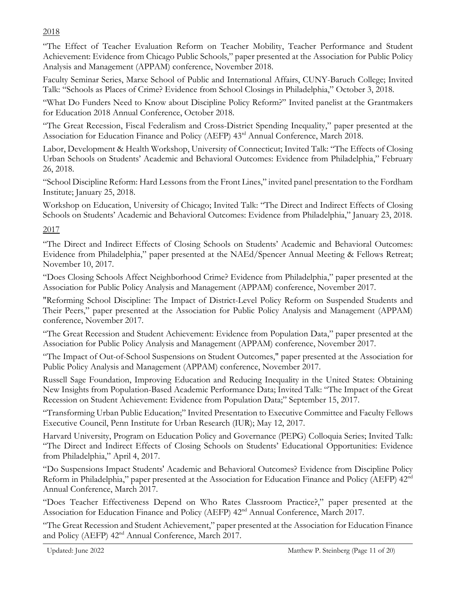### 2018

"The Effect of Teacher Evaluation Reform on Teacher Mobility, Teacher Performance and Student Achievement: Evidence from Chicago Public Schools," paper presented at the Association for Public Policy Analysis and Management (APPAM) conference, November 2018.

Faculty Seminar Series, Marxe School of Public and International Affairs, CUNY-Baruch College; Invited Talk: "Schools as Places of Crime? Evidence from School Closings in Philadelphia," October 3, 2018.

"What Do Funders Need to Know about Discipline Policy Reform?" Invited panelist at the Grantmakers for Education 2018 Annual Conference, October 2018.

"The Great Recession, Fiscal Federalism and Cross-District Spending Inequality," paper presented at the Association for Education Finance and Policy (AEFP) 43rd Annual Conference, March 2018.

Labor, Development & Health Workshop, University of Connecticut; Invited Talk: "The Effects of Closing Urban Schools on Students' Academic and Behavioral Outcomes: Evidence from Philadelphia," February 26, 2018.

"School Discipline Reform: Hard Lessons from the Front Lines," invited panel presentation to the Fordham Institute; January 25, 2018.

Workshop on Education, University of Chicago; Invited Talk: "The Direct and Indirect Effects of Closing Schools on Students' Academic and Behavioral Outcomes: Evidence from Philadelphia," January 23, 2018.

### 2017

"The Direct and Indirect Effects of Closing Schools on Students' Academic and Behavioral Outcomes: Evidence from Philadelphia," paper presented at the NAEd/Spencer Annual Meeting & Fellows Retreat; November 10, 2017.

"Does Closing Schools Affect Neighborhood Crime? Evidence from Philadelphia," paper presented at the Association for Public Policy Analysis and Management (APPAM) conference, November 2017.

"Reforming School Discipline: The Impact of District-Level Policy Reform on Suspended Students and Their Peers," paper presented at the Association for Public Policy Analysis and Management (APPAM) conference, November 2017.

"The Great Recession and Student Achievement: Evidence from Population Data," paper presented at the Association for Public Policy Analysis and Management (APPAM) conference, November 2017.

"The Impact of Out-of-School Suspensions on Student Outcomes," paper presented at the Association for Public Policy Analysis and Management (APPAM) conference, November 2017.

Russell Sage Foundation, Improving Education and Reducing Inequality in the United States: Obtaining New Insights from Population-Based Academic Performance Data; Invited Talk: "The Impact of the Great Recession on Student Achievement: Evidence from Population Data;" September 15, 2017.

"Transforming Urban Public Education;" Invited Presentation to Executive Committee and Faculty Fellows Executive Council, Penn Institute for Urban Research (IUR); May 12, 2017.

Harvard University, Program on Education Policy and Governance (PEPG) Colloquia Series; Invited Talk: "The Direct and Indirect Effects of Closing Schools on Students' Educational Opportunities: Evidence from Philadelphia," April 4, 2017.

"Do Suspensions Impact Students' Academic and Behavioral Outcomes? Evidence from Discipline Policy Reform in Philadelphia," paper presented at the Association for Education Finance and Policy (AEFP) 42<sup>nd</sup> Annual Conference, March 2017.

"Does Teacher Effectiveness Depend on Who Rates Classroom Practice?," paper presented at the Association for Education Finance and Policy (AEFP)  $42<sup>nd</sup>$  Annual Conference, March 2017.

"The Great Recession and Student Achievement," paper presented at the Association for Education Finance and Policy (AEFP)  $42<sup>nd</sup>$  Annual Conference, March 2017.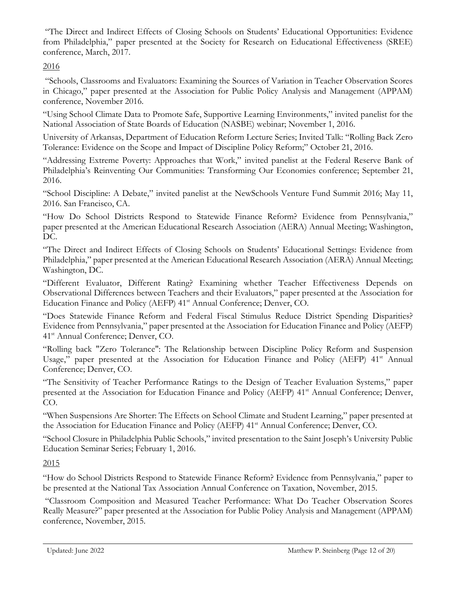"The Direct and Indirect Effects of Closing Schools on Students' Educational Opportunities: Evidence from Philadelphia," paper presented at the Society for Research on Educational Effectiveness (SREE) conference, March, 2017.

#### 2016

"Schools, Classrooms and Evaluators: Examining the Sources of Variation in Teacher Observation Scores in Chicago," paper presented at the Association for Public Policy Analysis and Management (APPAM) conference, November 2016.

"Using School Climate Data to Promote Safe, Supportive Learning Environments," invited panelist for the National Association of State Boards of Education (NASBE) webinar; November 1, 2016.

University of Arkansas, Department of Education Reform Lecture Series; Invited Talk: "Rolling Back Zero Tolerance: Evidence on the Scope and Impact of Discipline Policy Reform;" October 21, 2016.

"Addressing Extreme Poverty: Approaches that Work," invited panelist at the Federal Reserve Bank of Philadelphia's Reinventing Our Communities: Transforming Our Economies conference; September 21, 2016.

"School Discipline: A Debate," invited panelist at the NewSchools Venture Fund Summit 2016; May 11, 2016. San Francisco, CA.

"How Do School Districts Respond to Statewide Finance Reform? Evidence from Pennsylvania," paper presented at the American Educational Research Association (AERA) Annual Meeting; Washington, DC.

"The Direct and Indirect Effects of Closing Schools on Students' Educational Settings: Evidence from Philadelphia," paper presented at the American Educational Research Association (AERA) Annual Meeting; Washington, DC.

"Different Evaluator, Different Rating? Examining whether Teacher Effectiveness Depends on Observational Differences between Teachers and their Evaluators," paper presented at the Association for Education Finance and Policy (AEFP) 41<sup>st</sup> Annual Conference; Denver, CO.

"Does Statewide Finance Reform and Federal Fiscal Stimulus Reduce District Spending Disparities? Evidence from Pennsylvania," paper presented at the Association for Education Finance and Policy (AEFP) 41<sup>st</sup> Annual Conference; Denver, CO.

"Rolling back "Zero Tolerance": The Relationship between Discipline Policy Reform and Suspension Usage," paper presented at the Association for Education Finance and Policy (AEFP) 41<sup>st</sup> Annual Conference; Denver, CO.

"The Sensitivity of Teacher Performance Ratings to the Design of Teacher Evaluation Systems," paper presented at the Association for Education Finance and Policy (AEFP) 41<sup>st</sup> Annual Conference; Denver, CO.

"When Suspensions Are Shorter: The Effects on School Climate and Student Learning," paper presented at the Association for Education Finance and Policy (AEFP) 41<sup>st</sup> Annual Conference; Denver, CO.

"School Closure in Philadelphia Public Schools," invited presentation to the Saint Joseph's University Public Education Seminar Series; February 1, 2016.

### 2015

"How do School Districts Respond to Statewide Finance Reform? Evidence from Pennsylvania," paper to be presented at the National Tax Association Annual Conference on Taxation, November, 2015.

"Classroom Composition and Measured Teacher Performance: What Do Teacher Observation Scores Really Measure?" paper presented at the Association for Public Policy Analysis and Management (APPAM) conference, November, 2015.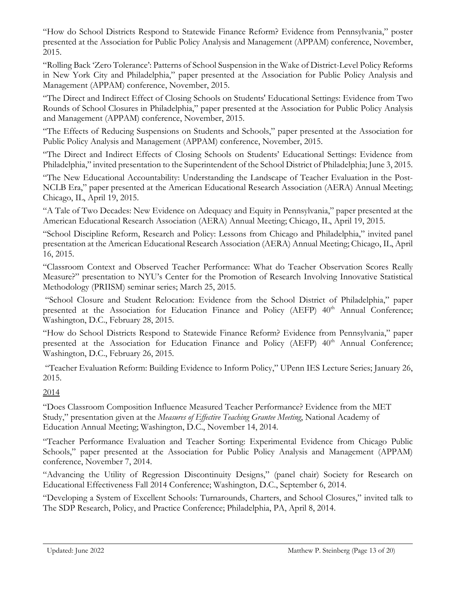"How do School Districts Respond to Statewide Finance Reform? Evidence from Pennsylvania," poster presented at the Association for Public Policy Analysis and Management (APPAM) conference, November, 2015.

"Rolling Back 'Zero Tolerance': Patterns of School Suspension in the Wake of District-Level Policy Reforms in New York City and Philadelphia," paper presented at the Association for Public Policy Analysis and Management (APPAM) conference, November, 2015.

"The Direct and Indirect Effect of Closing Schools on Students' Educational Settings: Evidence from Two Rounds of School Closures in Philadelphia," paper presented at the Association for Public Policy Analysis and Management (APPAM) conference, November, 2015.

"The Effects of Reducing Suspensions on Students and Schools," paper presented at the Association for Public Policy Analysis and Management (APPAM) conference, November, 2015.

"The Direct and Indirect Effects of Closing Schools on Students' Educational Settings: Evidence from Philadelphia," invited presentation to the Superintendent of the School District of Philadelphia; June 3, 2015.

"The New Educational Accountability: Understanding the Landscape of Teacher Evaluation in the Post-NCLB Era," paper presented at the American Educational Research Association (AERA) Annual Meeting; Chicago, IL, April 19, 2015.

"A Tale of Two Decades: New Evidence on Adequacy and Equity in Pennsylvania," paper presented at the American Educational Research Association (AERA) Annual Meeting; Chicago, IL, April 19, 2015.

"School Discipline Reform, Research and Policy: Lessons from Chicago and Philadelphia," invited panel presentation at the American Educational Research Association (AERA) Annual Meeting; Chicago, IL, April 16, 2015.

"Classroom Context and Observed Teacher Performance: What do Teacher Observation Scores Really Measure?" presentation to NYU's Center for the Promotion of Research Involving Innovative Statistical Methodology (PRIISM) seminar series; March 25, 2015.

"School Closure and Student Relocation: Evidence from the School District of Philadelphia," paper presented at the Association for Education Finance and Policy (AEFP) 40<sup>th</sup> Annual Conference; Washington, D.C., February 28, 2015.

"How do School Districts Respond to Statewide Finance Reform? Evidence from Pennsylvania," paper presented at the Association for Education Finance and Policy (AEFP) 40<sup>th</sup> Annual Conference; Washington, D.C., February 26, 2015.

"Teacher Evaluation Reform: Building Evidence to Inform Policy," UPenn IES Lecture Series; January 26, 2015.

### 2014

"Does Classroom Composition Influence Measured Teacher Performance? Evidence from the MET Study," presentation given at the *Measures of Effective Teaching Grantee Meeting*, National Academy of Education Annual Meeting; Washington, D.C., November 14, 2014.

"Teacher Performance Evaluation and Teacher Sorting: Experimental Evidence from Chicago Public Schools," paper presented at the Association for Public Policy Analysis and Management (APPAM) conference, November 7, 2014.

"Advancing the Utility of Regression Discontinuity Designs," (panel chair) Society for Research on Educational Effectiveness Fall 2014 Conference; Washington, D.C., September 6, 2014.

"Developing a System of Excellent Schools: Turnarounds, Charters, and School Closures," invited talk to The SDP Research, Policy, and Practice Conference; Philadelphia, PA, April 8, 2014.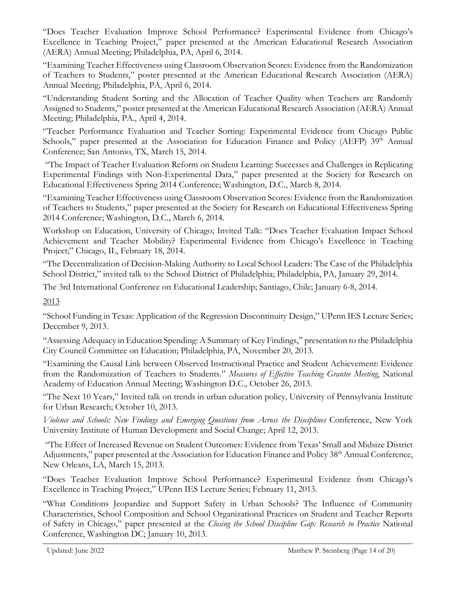"Does Teacher Evaluation Improve School Performance? Experimental Evidence from Chicago's Excellence in Teaching Project," paper presented at the American Educational Research Association (AERA) Annual Meeting; Philadelphia, PA, April 6, 2014.

"Examining Teacher Effectiveness using Classroom Observation Scores: Evidence from the Randomization of Teachers to Students," poster presented at the American Educational Research Association (AERA) Annual Meeting; Philadelphia, PA, April 6, 2014.

"Understanding Student Sorting and the Allocation of Teacher Quality when Teachers are Randomly Assigned to Students," poster presented at the American Educational Research Association (AERA) Annual Meeting; Philadelphia, PA., April 4, 2014.

"Teacher Performance Evaluation and Teacher Sorting: Experimental Evidence from Chicago Public Schools," paper presented at the Association for Education Finance and Policy (AEFP) 39<sup>th</sup> Annual Conference; San Antonio, TX, March 15, 2014.

"The Impact of Teacher Evaluation Reform on Student Learning: Successes and Challenges in Replicating Experimental Findings with Non-Experimental Data," paper presented at the Society for Research on Educational Effectiveness Spring 2014 Conference; Washington, D.C., March 8, 2014.

"Examining Teacher Effectiveness using Classroom Observation Scores: Evidence from the Randomization of Teachers to Students," paper presented at the Society for Research on Educational Effectiveness Spring 2014 Conference; Washington, D.C., March 6, 2014.

Workshop on Education, University of Chicago; Invited Talk: "Does Teacher Evaluation Impact School Achievement and Teacher Mobility? Experimental Evidence from Chicago's Excellence in Teaching Project;" Chicago, IL, February 18, 2014.

"The Decentralization of Decision-Making Authority to Local School Leaders: The Case of the Philadelphia School District," invited talk to the School District of Philadelphia; Philadelphia, PA, January 29, 2014.

The 3rd International Conference on Educational Leadership; Santiago, Chile; January 6-8, 2014.

2013

"School Funding in Texas: Application of the Regression Discontinuity Design," UPenn IES Lecture Series; December 9, 2013.

"Assessing Adequacy in Education Spending: A Summary of Key Findings," presentation to the Philadelphia City Council Committee on Education; Philadelphia, PA, November 20, 2013.

"Examining the Causal Link between Observed Instructional Practice and Student Achievement: Evidence from the Randomization of Teachers to Students." *Measures of Effective Teaching Grantee Meeting*, National Academy of Education Annual Meeting; Washington D.C., October 26, 2013.

"The Next 10 Years," Invited talk on trends in urban education policy, University of Pennsylvania Institute for Urban Research; October 10, 2013.

*Violence and Schools: New Findings and Emerging Questions from Across the Disciplines* Conference, New York University Institute of Human Development and Social Change; April 12, 2013.

"The Effect of Increased Revenue on Student Outcomes: Evidence from Texas' Small and Midsize District Adjustments," paper presented at the Association for Education Finance and Policy 38<sup>th</sup> Annual Conference, New Orleans, LA, March 15, 2013.

"Does Teacher Evaluation Improve School Performance? Experimental Evidence from Chicago's Excellence in Teaching Project," UPenn IES Lecture Series; February 11, 2013.

"What Conditions Jeopardize and Support Safety in Urban Schools? The Influence of Community Characteristics, School Composition and School Organizational Practices on Student and Teacher Reports of Safety in Chicago," paper presented at the *Closing the School Discipline Gap: Research to Practice* National Conference, Washington DC; January 10, 2013.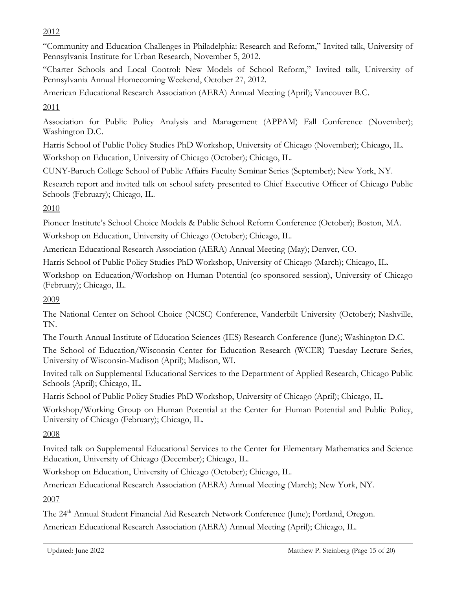2012

"Community and Education Challenges in Philadelphia: Research and Reform," Invited talk, University of Pennsylvania Institute for Urban Research, November 5, 2012.

"Charter Schools and Local Control: New Models of School Reform," Invited talk, University of Pennsylvania Annual Homecoming Weekend, October 27, 2012.

American Educational Research Association (AERA) Annual Meeting (April); Vancouver B.C.

2011

Association for Public Policy Analysis and Management (APPAM) Fall Conference (November); Washington D.C.

Harris School of Public Policy Studies PhD Workshop, University of Chicago (November); Chicago, IL.

Workshop on Education, University of Chicago (October); Chicago, IL.

CUNY-Baruch College School of Public Affairs Faculty Seminar Series (September); New York, NY.

Research report and invited talk on school safety presented to Chief Executive Officer of Chicago Public Schools (February); Chicago, IL.

2010

Pioneer Institute's School Choice Models & Public School Reform Conference (October); Boston, MA. Workshop on Education, University of Chicago (October); Chicago, IL.

American Educational Research Association (AERA) Annual Meeting (May); Denver, CO.

Harris School of Public Policy Studies PhD Workshop, University of Chicago (March); Chicago, IL.

Workshop on Education/Workshop on Human Potential (co-sponsored session), University of Chicago (February); Chicago, IL.

2009

The National Center on School Choice (NCSC) Conference, Vanderbilt University (October); Nashville, TN.

The Fourth Annual Institute of Education Sciences (IES) Research Conference (June); Washington D.C.

The School of Education/Wisconsin Center for Education Research (WCER) Tuesday Lecture Series, University of Wisconsin-Madison (April); Madison, WI.

Invited talk on Supplemental Educational Services to the Department of Applied Research, Chicago Public Schools (April); Chicago, IL.

Harris School of Public Policy Studies PhD Workshop, University of Chicago (April); Chicago, IL.

Workshop/Working Group on Human Potential at the Center for Human Potential and Public Policy, University of Chicago (February); Chicago, IL.

2008

Invited talk on Supplemental Educational Services to the Center for Elementary Mathematics and Science Education, University of Chicago (December); Chicago, IL.

Workshop on Education, University of Chicago (October); Chicago, IL.

American Educational Research Association (AERA) Annual Meeting (March); New York, NY.

2007

The 24<sup>th</sup> Annual Student Financial Aid Research Network Conference (June); Portland, Oregon. American Educational Research Association (AERA) Annual Meeting (April); Chicago, IL.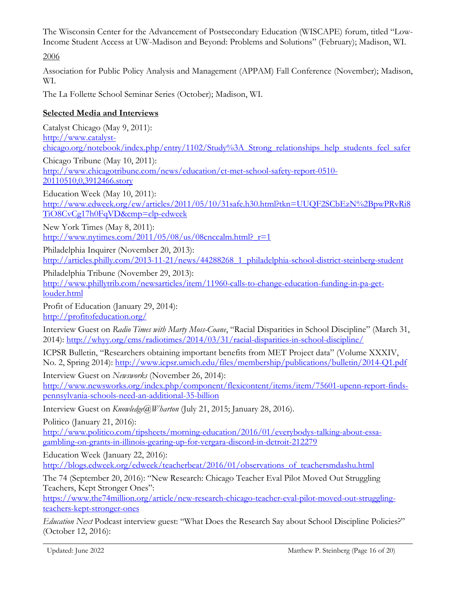The Wisconsin Center for the Advancement of Postsecondary Education (WISCAPE) forum, titled "Low-Income Student Access at UW-Madison and Beyond: Problems and Solutions" (February); Madison, WI.

2006

Association for Public Policy Analysis and Management (APPAM) Fall Conference (November); Madison, WI.

The La Follette School Seminar Series (October); Madison, WI.

### **Selected Media and Interviews**

Catalyst Chicago (May 9, 2011): [http://www.catalyst](http://www.catalyst-chicago.org/notebook/index.php/entry/1102/Study%3A_Strong_relationships_help_students_feel_safer)[chicago.org/notebook/index.php/entry/1102/Study%3A\\_Strong\\_relationships\\_help\\_students\\_feel\\_safer](http://www.catalyst-chicago.org/notebook/index.php/entry/1102/Study%3A_Strong_relationships_help_students_feel_safer) Chicago Tribune (May 10, 2011): [http://www.chicagotribune.com/news/education/ct-met-school-safety-report-0510-](http://www.chicagotribune.com/news/education/ct-met-school-safety-report-0510-20110510,0,3912466.story) [20110510,0,3912466.story](http://www.chicagotribune.com/news/education/ct-met-school-safety-report-0510-20110510,0,3912466.story) Education Week (May 10, 2011):

[http://www.edweek.org/ew/articles/2011/05/10/31safe.h30.html?tkn=UUQF2SCbEzN%2BpwPRvRi8](http://www.edweek.org/ew/articles/2011/05/10/31safe.h30.html?tkn=UUQF2SCbEzN%2BpwPRvRi8TiO8CvCg17h0FqVD&cmp=clp-edweek) [TiO8CvCg17h0FqVD&cmp=clp-edweek](http://www.edweek.org/ew/articles/2011/05/10/31safe.h30.html?tkn=UUQF2SCbEzN%2BpwPRvRi8TiO8CvCg17h0FqVD&cmp=clp-edweek)

New York Times (May 8, 2011): http://www.nytimes.com/2011/05/08/us/08cnccalm.html? $r=1$ 

Philadelphia Inquirer (November 20, 2013): [http://articles.philly.com/2013-11-21/news/44288268\\_1\\_philadelphia-school-district-steinberg-student](http://articles.philly.com/2013-11-21/news/44288268_1_philadelphia-school-district-steinberg-student) 

Philadelphia Tribune (November 29, 2013): [http://www.phillytrib.com/newsarticles/item/11960-calls-to-change-education-funding-in-pa-get](http://www.phillytrib.com/newsarticles/item/11960-calls-to-change-education-funding-in-pa-get-louder.html)[louder.html](http://www.phillytrib.com/newsarticles/item/11960-calls-to-change-education-funding-in-pa-get-louder.html) 

Profit of Education (January 29, 2014): <http://profitofeducation.org/>

Interview Guest on *Radio Times with Marty Moss-Coane*, "Racial Disparities in School Discipline" (March 31, 2014):<http://whyy.org/cms/radiotimes/2014/03/31/racial-disparities-in-school-discipline/>

ICPSR Bulletin, "Researchers obtaining important benefits from MET Project data" (Volume XXXIV, No. 2, Spring 2014):<http://www.icpsr.umich.edu/files/membership/publications/bulletin/2014-Q1.pdf>

Interview Guest on *Newsworks* (November 26, 2014):

[http://www.newsworks.org/index.php/component/flexicontent/items/item/75601-upenn-report-finds](http://www.newsworks.org/index.php/component/flexicontent/items/item/75601-upenn-report-finds-pennsylvania-schools-need-an-additional-35-billion)[pennsylvania-schools-need-an-additional-35-billion](http://www.newsworks.org/index.php/component/flexicontent/items/item/75601-upenn-report-finds-pennsylvania-schools-need-an-additional-35-billion)

Interview Guest on *Knowledge@Wharton* (July 21, 2015; January 28, 2016).

Politico (January 21, 2016):

[http://www.politico.com/tipsheets/morning-education/2016/01/everybodys-talking-about-essa](http://www.politico.com/tipsheets/morning-education/2016/01/everybodys-talking-about-essa-gambling-on-grants-in-illinois-gearing-up-for-vergara-discord-in-detroit-212279)[gambling-on-grants-in-illinois-gearing-up-for-vergara-discord-in-detroit-212279](http://www.politico.com/tipsheets/morning-education/2016/01/everybodys-talking-about-essa-gambling-on-grants-in-illinois-gearing-up-for-vergara-discord-in-detroit-212279) 

Education Week (January 22, 2016):

[http://blogs.edweek.org/edweek/teacherbeat/2016/01/observations\\_of\\_teachersmdashu.html](http://blogs.edweek.org/edweek/teacherbeat/2016/01/observations_of_teachersmdashu.html)

The 74 (September 20, 2016): "New Research: Chicago Teacher Eval Pilot Moved Out Struggling Teachers, Kept Stronger Ones":

[https://www.the74million.org/article/new-research-chicago-teacher-eval-pilot-moved-out-struggling](https://www.the74million.org/article/new-research-chicago-teacher-eval-pilot-moved-out-struggling-teachers-kept-stronger-ones)[teachers-kept-stronger-ones](https://www.the74million.org/article/new-research-chicago-teacher-eval-pilot-moved-out-struggling-teachers-kept-stronger-ones)

*Education Next* Podcast interview guest: "What Does the Research Say about School Discipline Policies?" (October 12, 2016):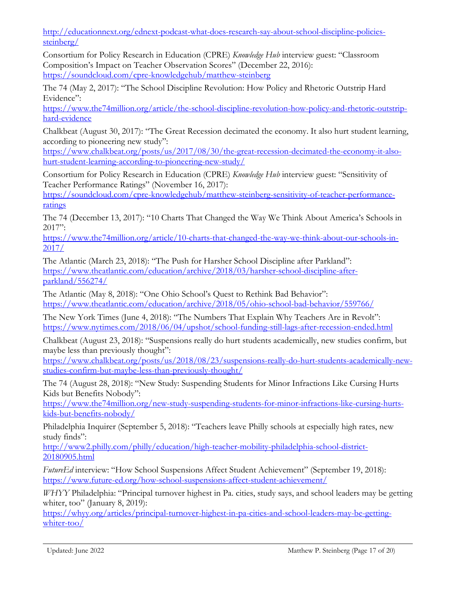[http://educationnext.org/ednext-podcast-what-does-research-say-about-school-discipline-policies](http://educationnext.org/ednext-podcast-what-does-research-say-about-school-discipline-policies-steinberg/)[steinberg/](http://educationnext.org/ednext-podcast-what-does-research-say-about-school-discipline-policies-steinberg/) 

Consortium for Policy Research in Education (CPRE) *Knowledge Hub* interview guest: "Classroom Composition's Impact on Teacher Observation Scores" (December 22, 2016): <https://soundcloud.com/cpre-knowledgehub/matthew-steinberg>

The 74 (May 2, 2017): "The School Discipline Revolution: How Policy and Rhetoric Outstrip Hard Evidence":

[https://www.the74million.org/article/the-school-discipline-revolution-how-policy-and-rhetoric-outstrip](https://www.the74million.org/article/the-school-discipline-revolution-how-policy-and-rhetoric-outstrip-hard-evidence)[hard-evidence](https://www.the74million.org/article/the-school-discipline-revolution-how-policy-and-rhetoric-outstrip-hard-evidence)

Chalkbeat (August 30, 2017): "The Great Recession decimated the economy. It also hurt student learning, according to pioneering new study":

[https://www.chalkbeat.org/posts/us/2017/08/30/the-great-recession-decimated-the-economy-it-also](https://www.chalkbeat.org/posts/us/2017/08/30/the-great-recession-decimated-the-economy-it-also-hurt-student-learning-according-to-pioneering-new-study/)[hurt-student-learning-according-to-pioneering-new-study/](https://www.chalkbeat.org/posts/us/2017/08/30/the-great-recession-decimated-the-economy-it-also-hurt-student-learning-according-to-pioneering-new-study/)

Consortium for Policy Research in Education (CPRE) *Knowledge Hub* interview guest: "Sensitivity of Teacher Performance Ratings" (November 16, 2017):

[https://soundcloud.com/cpre-knowledgehub/matthew-steinberg-sensitivity-of-teacher-performance](https://soundcloud.com/cpre-knowledgehub/matthew-steinberg-sensitivity-of-teacher-performance-ratings)[ratings](https://soundcloud.com/cpre-knowledgehub/matthew-steinberg-sensitivity-of-teacher-performance-ratings) 

The 74 (December 13, 2017): "10 Charts That Changed the Way We Think About America's Schools in  $2017$ ":

[https://www.the74million.org/article/10-charts-that-changed-the-way-we-think-about-our-schools-in-](https://www.the74million.org/article/10-charts-that-changed-the-way-we-think-about-our-schools-in-2017/)[2017/](https://www.the74million.org/article/10-charts-that-changed-the-way-we-think-about-our-schools-in-2017/)

The Atlantic (March 23, 2018): "The Push for Harsher School Discipline after Parkland": [https://www.theatlantic.com/education/archive/2018/03/harsher-school-discipline-after](https://www.theatlantic.com/education/archive/2018/03/harsher-school-discipline-after-parkland/556274/)[parkland/556274/](https://www.theatlantic.com/education/archive/2018/03/harsher-school-discipline-after-parkland/556274/) 

The Atlantic (May 8, 2018): "One Ohio School's Quest to Rethink Bad Behavior": <https://www.theatlantic.com/education/archive/2018/05/ohio-school-bad-behavior/559766/>

The New York Times (June 4, 2018): "The Numbers That Explain Why Teachers Are in Revolt": <https://www.nytimes.com/2018/06/04/upshot/school-funding-still-lags-after-recession-ended.html>

Chalkbeat (August 23, 2018): "Suspensions really do hurt students academically, new studies confirm, but maybe less than previously thought":

[https://www.chalkbeat.org/posts/us/2018/08/23/suspensions-really-do-hurt-students-academically-new](https://www.chalkbeat.org/posts/us/2018/08/23/suspensions-really-do-hurt-students-academically-new-studies-confirm-but-maybe-less-than-previously-thought/)[studies-confirm-but-maybe-less-than-previously-thought/](https://www.chalkbeat.org/posts/us/2018/08/23/suspensions-really-do-hurt-students-academically-new-studies-confirm-but-maybe-less-than-previously-thought/)

The 74 (August 28, 2018): "New Study: Suspending Students for Minor Infractions Like Cursing Hurts Kids but Benefits Nobody":

[https://www.the74million.org/new-study-suspending-students-for-minor-infractions-like-cursing-hurts](https://www.the74million.org/new-study-suspending-students-for-minor-infractions-like-cursing-hurts-kids-but-benefits-nobody/)[kids-but-benefits-nobody/](https://www.the74million.org/new-study-suspending-students-for-minor-infractions-like-cursing-hurts-kids-but-benefits-nobody/) 

Philadelphia Inquirer (September 5, 2018): "Teachers leave Philly schools at especially high rates, new study finds":

[http://www2.philly.com/philly/education/high-teacher-mobility-philadelphia-school-district-](http://www2.philly.com/philly/education/high-teacher-mobility-philadelphia-school-district-20180905.html)[20180905.html](http://www2.philly.com/philly/education/high-teacher-mobility-philadelphia-school-district-20180905.html)

*FutureEd* interview: "How School Suspensions Affect Student Achievement" (September 19, 2018): <https://www.future-ed.org/how-school-suspensions-affect-student-achievement/>

*WHYY* Philadelphia: "Principal turnover highest in Pa. cities, study says, and school leaders may be getting whiter, too" (January 8, 2019):

[https://whyy.org/articles/principal-turnover-highest-in-pa-cities-and-school-leaders-may-be-getting](https://whyy.org/articles/principal-turnover-highest-in-pa-cities-and-school-leaders-may-be-getting-whiter-too/)[whiter-too/](https://whyy.org/articles/principal-turnover-highest-in-pa-cities-and-school-leaders-may-be-getting-whiter-too/)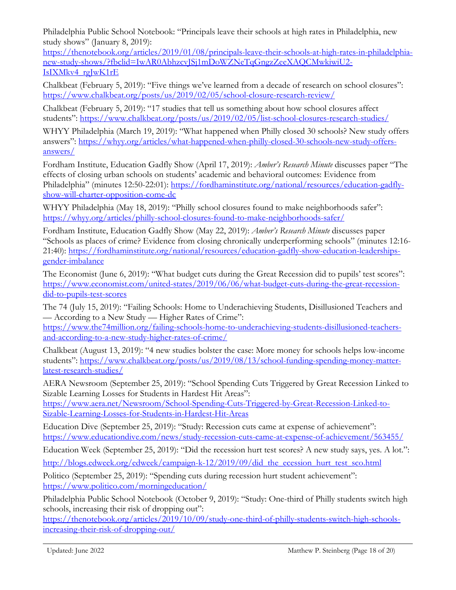Philadelphia Public School Notebook: "Principals leave their schools at high rates in Philadelphia, new study shows" (January 8, 2019):

[https://thenotebook.org/articles/2019/01/08/principals-leave-their-schools-at-high-rates-in-philadelphia](https://thenotebook.org/articles/2019/01/08/principals-leave-their-schools-at-high-rates-in-philadelphia-new-study-shows/?fbclid=IwAR0AbhzcvJSj1mDoWZNeTqGngzZeeXAQCMwkiwiU2-IsIXMkv4_rgJwK1rE)[new-study-shows/?fbclid=IwAR0AbhzcvJSj1mDoWZNeTqGngzZeeXAQCMwkiwiU2-](https://thenotebook.org/articles/2019/01/08/principals-leave-their-schools-at-high-rates-in-philadelphia-new-study-shows/?fbclid=IwAR0AbhzcvJSj1mDoWZNeTqGngzZeeXAQCMwkiwiU2-IsIXMkv4_rgJwK1rE) [IsIXMkv4\\_rgJwK1rE](https://thenotebook.org/articles/2019/01/08/principals-leave-their-schools-at-high-rates-in-philadelphia-new-study-shows/?fbclid=IwAR0AbhzcvJSj1mDoWZNeTqGngzZeeXAQCMwkiwiU2-IsIXMkv4_rgJwK1rE) 

Chalkbeat (February 5, 2019): "Five things we've learned from a decade of research on school closures": <https://www.chalkbeat.org/posts/us/2019/02/05/school-closure-research-review/>

Chalkbeat (February 5, 2019): "17 studies that tell us something about how school closures affect students": https://www.chalkbeat.org/posts/us/2019/02/05/list-school-closures-research-studies/

WHYY Philadelphia (March 19, 2019): "What happened when Philly closed 30 schools? New study offers answers": [https://whyy.org/articles/what-happened-when-philly-closed-30-schools-new-study-offers](https://whyy.org/articles/what-happened-when-philly-closed-30-schools-new-study-offers-answers/)[answers/](https://whyy.org/articles/what-happened-when-philly-closed-30-schools-new-study-offers-answers/)

Fordham Institute, Education Gadfly Show (April 17, 2019): *Amber's Research Minute* discusses paper "The effects of closing urban schools on students' academic and behavioral outcomes: Evidence from Philadelphia" (minutes 12:50-22:01): [https://fordhaminstitute.org/national/resources/education-gadfly](https://fordhaminstitute.org/national/resources/education-gadfly-show-will-charter-opposition-come-dc)[show-will-charter-opposition-come-dc](https://fordhaminstitute.org/national/resources/education-gadfly-show-will-charter-opposition-come-dc)

WHYY Philadelphia (May 18, 2019): "Philly school closures found to make neighborhoods safer": <https://whyy.org/articles/philly-school-closures-found-to-make-neighborhoods-safer/>

Fordham Institute, Education Gadfly Show (May 22, 2019): *Amber's Research Minute* discusses paper "Schools as places of crime? Evidence from closing chronically underperforming schools" (minutes 12:16- 21:40): [https://fordhaminstitute.org/national/resources/education-gadfly-show-education-leaderships](https://fordhaminstitute.org/national/resources/education-gadfly-show-education-leaderships-gender-imbalance)[gender-imbalance](https://fordhaminstitute.org/national/resources/education-gadfly-show-education-leaderships-gender-imbalance)

The Economist (June 6, 2019): "What budget cuts during the Great Recession did to pupils' test scores": [https://www.economist.com/united-states/2019/06/06/what-budget-cuts-during-the-great-recession](https://www.economist.com/united-states/2019/06/06/what-budget-cuts-during-the-great-recession-did-to-pupils-test-scores)[did-to-pupils-test-scores](https://www.economist.com/united-states/2019/06/06/what-budget-cuts-during-the-great-recession-did-to-pupils-test-scores) 

The 74 (July 15, 2019): "Failing Schools: Home to Underachieving Students, Disillusioned Teachers and — According to a New Study — Higher Rates of Crime":

[https://www.the74million.org/failing-schools-home-to-underachieving-students-disillusioned-teachers](https://www.the74million.org/failing-schools-home-to-underachieving-students-disillusioned-teachers-and-according-to-a-new-study-higher-rates-of-crime/)[and-according-to-a-new-study-higher-rates-of-crime/](https://www.the74million.org/failing-schools-home-to-underachieving-students-disillusioned-teachers-and-according-to-a-new-study-higher-rates-of-crime/)

Chalkbeat (August 13, 2019): "4 new studies bolster the case: More money for schools helps low-income students": [https://www.chalkbeat.org/posts/us/2019/08/13/school-funding-spending-money-matter](https://www.chalkbeat.org/posts/us/2019/08/13/school-funding-spending-money-matter-latest-research-studies/)[latest-research-studies/](https://www.chalkbeat.org/posts/us/2019/08/13/school-funding-spending-money-matter-latest-research-studies/)

AERA Newsroom (September 25, 2019): "School Spending Cuts Triggered by Great Recession Linked to Sizable Learning Losses for Students in Hardest Hit Areas":

[https://www.aera.net/Newsroom/School-Spending-Cuts-Triggered-by-Great-Recession-Linked-to-](https://www.aera.net/Newsroom/School-Spending-Cuts-Triggered-by-Great-Recession-Linked-to-Sizable-Learning-Losses-for-Students-in-Hardest-Hit-Areas)[Sizable-Learning-Losses-for-Students-in-Hardest-Hit-Areas](https://www.aera.net/Newsroom/School-Spending-Cuts-Triggered-by-Great-Recession-Linked-to-Sizable-Learning-Losses-for-Students-in-Hardest-Hit-Areas)

Education Dive (September 25, 2019): "Study: Recession cuts came at expense of achievement": <https://www.educationdive.com/news/study-recession-cuts-came-at-expense-of-achievement/563455/>

Education Week (September 25, 2019): "Did the recession hurt test scores? A new study says, yes. A lot.": [http://blogs.edweek.org/edweek/campaign-k-12/2019/09/did\\_the\\_ecession\\_hurt\\_test\\_sco.html](http://blogs.edweek.org/edweek/campaign-k-12/2019/09/did_the_ecession_hurt_test_sco.html) 

Politico (September 25, 2019): "Spending cuts during recession hurt student achievement": <https://www.politico.com/morningeducation/>

Philadelphia Public School Notebook (October 9, 2019): "Study: One-third of Philly students switch high schools, increasing their risk of dropping out":

[https://thenotebook.org/articles/2019/10/09/study-one-third-of-philly-students-switch-high-schools](https://thenotebook.org/articles/2019/10/09/study-one-third-of-philly-students-switch-high-schools-increasing-their-risk-of-dropping-out/)[increasing-their-risk-of-dropping-out/](https://thenotebook.org/articles/2019/10/09/study-one-third-of-philly-students-switch-high-schools-increasing-their-risk-of-dropping-out/)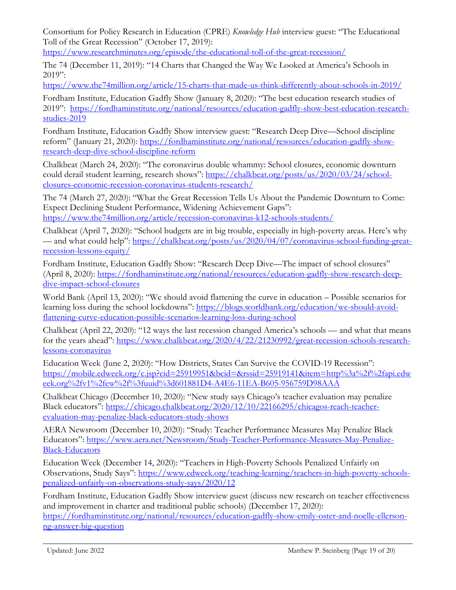Consortium for Policy Research in Education (CPRE) *Knowledge Hub* interview guest: "The Educational Toll of the Great Recession" (October 17, 2019):

<https://www.researchminutes.org/episode/the-educational-toll-of-the-great-recession/>

The 74 (December 11, 2019): "14 Charts that Changed the Way We Looked at America's Schools in  $2019$ ":

<https://www.the74million.org/article/15-charts-that-made-us-think-differently-about-schools-in-2019/>

Fordham Institute, Education Gadfly Show (January 8, 2020): "The best education research studies of 2019": [https://fordhaminstitute.org/national/resources/education-gadfly-show-best-education-research](https://fordhaminstitute.org/national/resources/education-gadfly-show-best-education-research-studies-2019)[studies-2019](https://fordhaminstitute.org/national/resources/education-gadfly-show-best-education-research-studies-2019)

Fordham Institute, Education Gadfly Show interview guest: "Research Deep Dive—School discipline reform" (January 21, 2020): [https://fordhaminstitute.org/national/resources/education-gadfly-show](https://fordhaminstitute.org/national/resources/education-gadfly-show-research-deep-dive-school-discipline-reform)[research-deep-dive-school-discipline-reform](https://fordhaminstitute.org/national/resources/education-gadfly-show-research-deep-dive-school-discipline-reform) 

Chalkbeat (March 24, 2020): "The coronavirus double whammy: School closures, economic downturn could derail student learning, research shows": [https://chalkbeat.org/posts/us/2020/03/24/school](https://chalkbeat.org/posts/us/2020/03/24/school-closures-economic-recession-coronavirus-students-research/)[closures-economic-recession-coronavirus-students-research/](https://chalkbeat.org/posts/us/2020/03/24/school-closures-economic-recession-coronavirus-students-research/) 

The 74 (March 27, 2020): "What the Great Recession Tells Us About the Pandemic Downturn to Come: Expect Declining Student Performance, Widening Achievement Gaps": <https://www.the74million.org/article/recession-coronavirus-k12-schools-students/>

Chalkbeat (April 7, 2020): "School budgets are in big trouble, especially in high-poverty areas. Here's why — and what could help": [https://chalkbeat.org/posts/us/2020/04/07/coronavirus-school-funding-great](https://chalkbeat.org/posts/us/2020/04/07/coronavirus-school-funding-great-recession-lessons-equity/)[recession-lessons-equity/](https://chalkbeat.org/posts/us/2020/04/07/coronavirus-school-funding-great-recession-lessons-equity/) 

Fordham Institute, Education Gadfly Show: "Research Deep Dive—The impact of school closures" (April 8, 2020): [https://fordhaminstitute.org/national/resources/education-gadfly-show-research-deep](https://fordhaminstitute.org/national/resources/education-gadfly-show-research-deep-dive-impact-school-closures)[dive-impact-school-closures](https://fordhaminstitute.org/national/resources/education-gadfly-show-research-deep-dive-impact-school-closures) 

World Bank (April 13, 2020): "We should avoid flattening the curve in education – Possible scenarios for learning loss during the school lockdowns": [https://blogs.worldbank.org/education/we-should-avoid](https://blogs.worldbank.org/education/we-should-avoid-flattening-curve-education-possible-scenarios-learning-loss-during-school)[flattening-curve-education-possible-scenarios-learning-loss-during-school](https://blogs.worldbank.org/education/we-should-avoid-flattening-curve-education-possible-scenarios-learning-loss-during-school) 

Chalkbeat (April 22, 2020): "12 ways the last recession changed America's schools — and what that means for the years ahead": [https://www.chalkbeat.org/2020/4/22/21230992/great-recession-schools-research](https://www.chalkbeat.org/2020/4/22/21230992/great-recession-schools-research-lessons-coronavirus)[lessons-coronavirus](https://www.chalkbeat.org/2020/4/22/21230992/great-recession-schools-research-lessons-coronavirus) 

Education Week (June 2, 2020): "How Districts, States Can Survive the COVID-19 Recession": [https://mobile.edweek.org/c.jsp?cid=25919951&bcid=&rssid=25919141&item=http%3a%2f%2fapi.edw](https://mobile.edweek.org/c.jsp?cid=25919951&bcid=&rssid=25919141&item=http%3a%2f%2fapi.edweek.org%2fv1%2few%2f%3fuuid%3d601881D4-A4E6-11EA-B605-956759D98AAA) [eek.org%2fv1%2few%2f%3fuuid%3d601881D4-A4E6-11EA-B605-956759D98AAA](https://mobile.edweek.org/c.jsp?cid=25919951&bcid=&rssid=25919141&item=http%3a%2f%2fapi.edweek.org%2fv1%2few%2f%3fuuid%3d601881D4-A4E6-11EA-B605-956759D98AAA)

Chalkbeat Chicago (December 10, 2020): "New study says Chicago's teacher evaluation may penalize Black educators": [https://chicago.chalkbeat.org/2020/12/10/22166295/chicagos-reach-teacher](https://chicago.chalkbeat.org/2020/12/10/22166295/chicagos-reach-teacher-evaluation-may-penalize-black-educators-study-shows)[evaluation-may-penalize-black-educators-study-shows](https://chicago.chalkbeat.org/2020/12/10/22166295/chicagos-reach-teacher-evaluation-may-penalize-black-educators-study-shows) 

AERA Newsroom (December 10, 2020): "Study: Teacher Performance Measures May Penalize Black Educators": [https://www.aera.net/Newsroom/Study-Teacher-Performance-Measures-May-Penalize-](https://www.aera.net/Newsroom/Study-Teacher-Performance-Measures-May-Penalize-Black-Educators)[Black-Educators](https://www.aera.net/Newsroom/Study-Teacher-Performance-Measures-May-Penalize-Black-Educators) 

Education Week (December 14, 2020): "Teachers in High-Poverty Schools Penalized Unfairly on Observations, Study Says": [https://www.edweek.org/teaching-learning/teachers-in-high-poverty-schools](https://www.edweek.org/teaching-learning/teachers-in-high-poverty-schools-penalized-unfairly-on-observations-study-says/2020/12)[penalized-unfairly-on-observations-study-says/2020/12](https://www.edweek.org/teaching-learning/teachers-in-high-poverty-schools-penalized-unfairly-on-observations-study-says/2020/12) 

Fordham Institute, Education Gadfly Show interview guest (discuss new research on teacher effectiveness and improvement in charter and traditional public schools) (December 17, 2020): [https://fordhaminstitute.org/national/resources/education-gadfly-show-emily-oster-and-noelle-ellerson](https://fordhaminstitute.org/national/resources/education-gadfly-show-emily-oster-and-noelle-ellerson-ng-answer-big-question)[ng-answer-big-question](https://fordhaminstitute.org/national/resources/education-gadfly-show-emily-oster-and-noelle-ellerson-ng-answer-big-question)